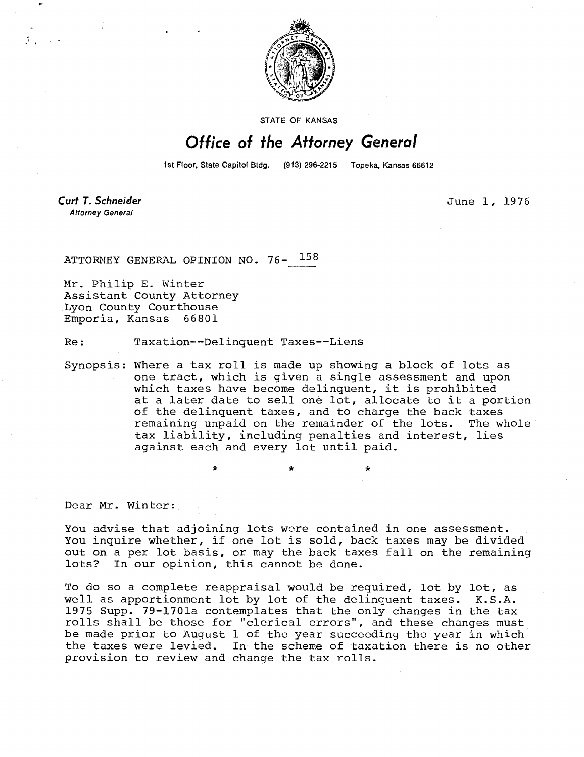

STATE OF KANSAS

## Office of the Attorney General

1st Floor, State Capitol Bldg. (913) 296-2215 Topeka, Kansas 66612

**Curt T. Schneider Attorney General** 

June 1, 1976

ATTORNEY GENERAL OPINION NO. 76- 158

Mr. Philip E. Winter Assistant County Attorney Lyon County Courthouse Emporia, Kansas 66801

Re: Taxation--Delinquent Taxes--Liens

Synopsis: Where a tax roll is made up showing a block of lots as one tract, which is given a single assessment and upon which taxes have become delinquent, it is prohibited at a later date to sell one lot, allocate to it a portion of the delinquent taxes, and to charge the back taxes remaining unpaid on the remainder of the lots. The whole tax liability, including penalties and interest, lies against each and every lot until paid.

 $\star$   $\star$   $\star$ 

Dear Mr. Winter:

You advise that adjoining lots were contained in one assessment. You inquire whether, if one lot is sold, back taxes may be divided out on a per lot basis, or may the back taxes fall on the remaining lots? In our opinion, this cannot be done.

To do so a complete reappraisal would be required, lot by lot, as well as apportionment lot by lot of the delinquent taxes. K.S.A. 1975 Supp. 79-1701a contemplates that the only changes in the tax rolls shall be those for "clerical errors", and these changes must be made prior to August 1 of the year succeeding the year in which the taxes were levied. In the scheme of taxation there is no other provision to review and change the tax rolls.